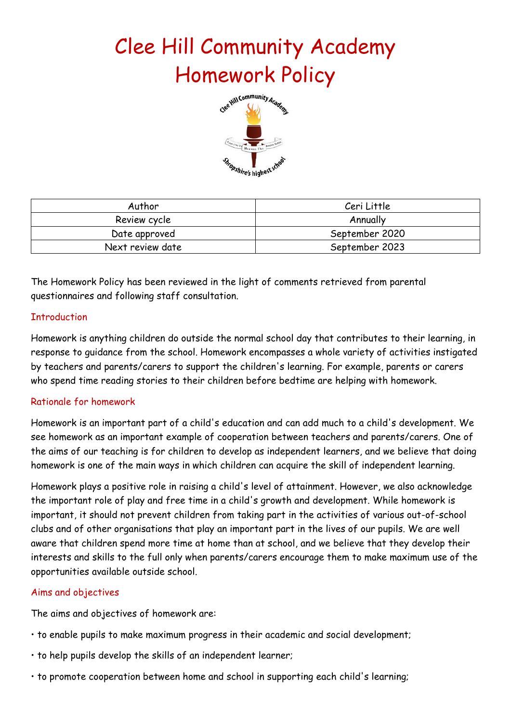# Clee Hill Community Academy Homework Policy



| Author           | Ceri Little    |
|------------------|----------------|
| Review cycle     | Annually       |
| Date approved    | September 2020 |
| Next review date | September 2023 |

The Homework Policy has been reviewed in the light of comments retrieved from parental questionnaires and following staff consultation.

## **Introduction**

Homework is anything children do outside the normal school day that contributes to their learning, in response to guidance from the school. Homework encompasses a whole variety of activities instigated by teachers and parents/carers to support the children's learning. For example, parents or carers who spend time reading stories to their children before bedtime are helping with homework.

## Rationale for homework

Homework is an important part of a child's education and can add much to a child's development. We see homework as an important example of cooperation between teachers and parents/carers. One of the aims of our teaching is for children to develop as independent learners, and we believe that doing homework is one of the main ways in which children can acquire the skill of independent learning.

Homework plays a positive role in raising a child's level of attainment. However, we also acknowledge the important role of play and free time in a child's growth and development. While homework is important, it should not prevent children from taking part in the activities of various out-of-school clubs and of other organisations that play an important part in the lives of our pupils. We are well aware that children spend more time at home than at school, and we believe that they develop their interests and skills to the full only when parents/carers encourage them to make maximum use of the opportunities available outside school.

## Aims and objectives

The aims and objectives of homework are:

- to enable pupils to make maximum progress in their academic and social development;
- to help pupils develop the skills of an independent learner;
- to promote cooperation between home and school in supporting each child's learning;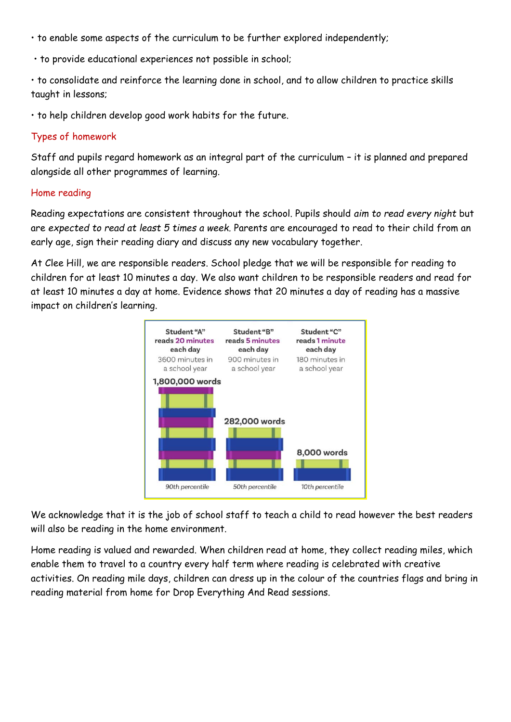- to enable some aspects of the curriculum to be further explored independently;
- to provide educational experiences not possible in school;
- to consolidate and reinforce the learning done in school, and to allow children to practice skills taught in lessons;
- to help children develop good work habits for the future.

## Types of homework

Staff and pupils regard homework as an integral part of the curriculum – it is planned and prepared alongside all other programmes of learning.

#### Home reading

Reading expectations are consistent throughout the school. Pupils should *aim to read every night* but are *expected to read at least 5 times a week.* Parents are encouraged to read to their child from an early age, sign their reading diary and discuss any new vocabulary together.

At Clee Hill, we are responsible readers. School pledge that we will be responsible for reading to children for at least 10 minutes a day. We also want children to be responsible readers and read for at least 10 minutes a day at home. Evidence shows that 20 minutes a day of reading has a massive impact on children's learning.



We acknowledge that it is the job of school staff to teach a child to read however the best readers will also be reading in the home environment.

Home reading is valued and rewarded. When children read at home, they collect reading miles, which enable them to travel to a country every half term where reading is celebrated with creative activities. On reading mile days, children can dress up in the colour of the countries flags and bring in reading material from home for Drop Everything And Read sessions.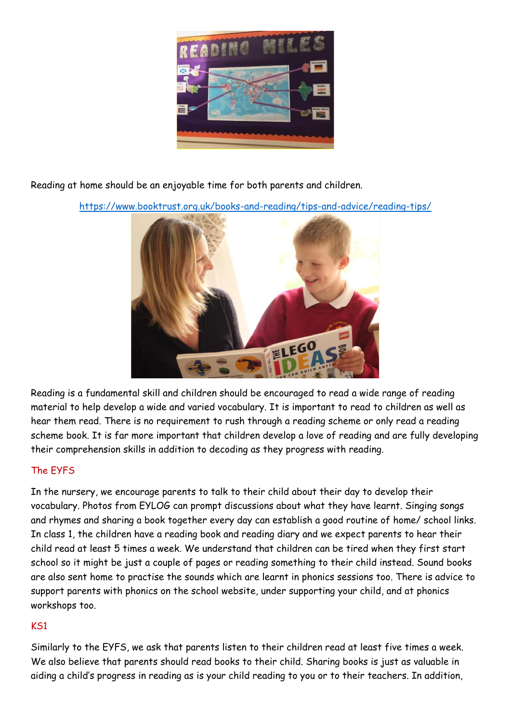

Reading at home should be an enjoyable time for both parents and children.

<https://www.booktrust.org.uk/books-and-reading/tips-and-advice/reading-tips/>



Reading is a fundamental skill and children should be encouraged to read a wide range of reading material to help develop a wide and varied vocabulary. It is important to read to children as well as hear them read. There is no requirement to rush through a reading scheme or only read a reading scheme book. It is far more important that children develop a love of reading and are fully developing their comprehension skills in addition to decoding as they progress with reading.

## The EYFS

In the nursery, we encourage parents to talk to their child about their day to develop their vocabulary. Photos from EYLOG can prompt discussions about what they have learnt. Singing songs and rhymes and sharing a book together every day can establish a good routine of home/ school links. In class 1, the children have a reading book and reading diary and we expect parents to hear their child read at least 5 times a week. We understand that children can be tired when they first start school so it might be just a couple of pages or reading something to their child instead. Sound books are also sent home to practise the sounds which are learnt in phonics sessions too. There is advice to support parents with phonics on the school website, under supporting your child, and at phonics workshops too.

## KS1

Similarly to the EYFS, we ask that parents listen to their children read at least five times a week. We also believe that parents should read books to their child. Sharing books is just as valuable in aiding a child's progress in reading as is your child reading to you or to their teachers. In addition,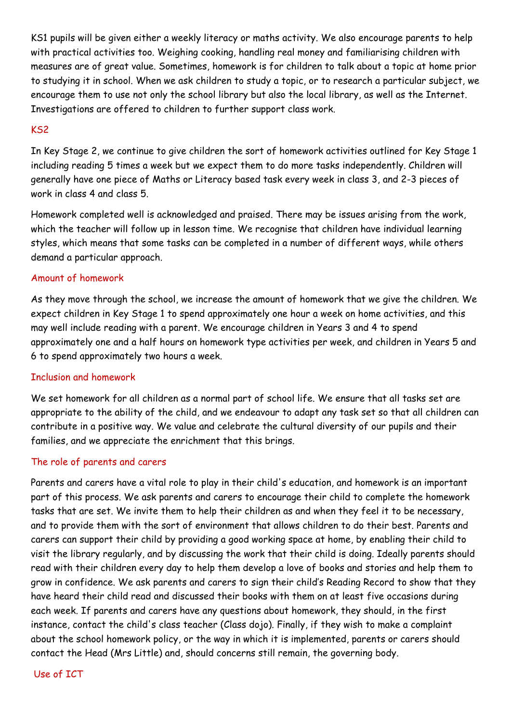KS1 pupils will be given either a weekly literacy or maths activity. We also encourage parents to help with practical activities too. Weighing cooking, handling real money and familiarising children with measures are of great value. Sometimes, homework is for children to talk about a topic at home prior to studying it in school. When we ask children to study a topic, or to research a particular subject, we encourage them to use not only the school library but also the local library, as well as the Internet. Investigations are offered to children to further support class work.

## KS2

In Key Stage 2, we continue to give children the sort of homework activities outlined for Key Stage 1 including reading 5 times a week but we expect them to do more tasks independently. Children will generally have one piece of Maths or Literacy based task every week in class 3, and 2-3 pieces of work in class 4 and class 5.

Homework completed well is acknowledged and praised. There may be issues arising from the work, which the teacher will follow up in lesson time. We recognise that children have individual learning styles, which means that some tasks can be completed in a number of different ways, while others demand a particular approach.

## Amount of homework

As they move through the school, we increase the amount of homework that we give the children. We expect children in Key Stage 1 to spend approximately one hour a week on home activities, and this may well include reading with a parent. We encourage children in Years 3 and 4 to spend approximately one and a half hours on homework type activities per week, and children in Years 5 and 6 to spend approximately two hours a week.

## Inclusion and homework

We set homework for all children as a normal part of school life. We ensure that all tasks set are appropriate to the ability of the child, and we endeavour to adapt any task set so that all children can contribute in a positive way. We value and celebrate the cultural diversity of our pupils and their families, and we appreciate the enrichment that this brings.

## The role of parents and carers

Parents and carers have a vital role to play in their child's education, and homework is an important part of this process. We ask parents and carers to encourage their child to complete the homework tasks that are set. We invite them to help their children as and when they feel it to be necessary, and to provide them with the sort of environment that allows children to do their best. Parents and carers can support their child by providing a good working space at home, by enabling their child to visit the library regularly, and by discussing the work that their child is doing. Ideally parents should read with their children every day to help them develop a love of books and stories and help them to grow in confidence. We ask parents and carers to sign their child's Reading Record to show that they have heard their child read and discussed their books with them on at least five occasions during each week. If parents and carers have any questions about homework, they should, in the first instance, contact the child's class teacher (Class dojo). Finally, if they wish to make a complaint about the school homework policy, or the way in which it is implemented, parents or carers should contact the Head (Mrs Little) and, should concerns still remain, the governing body.

## Use of ICT